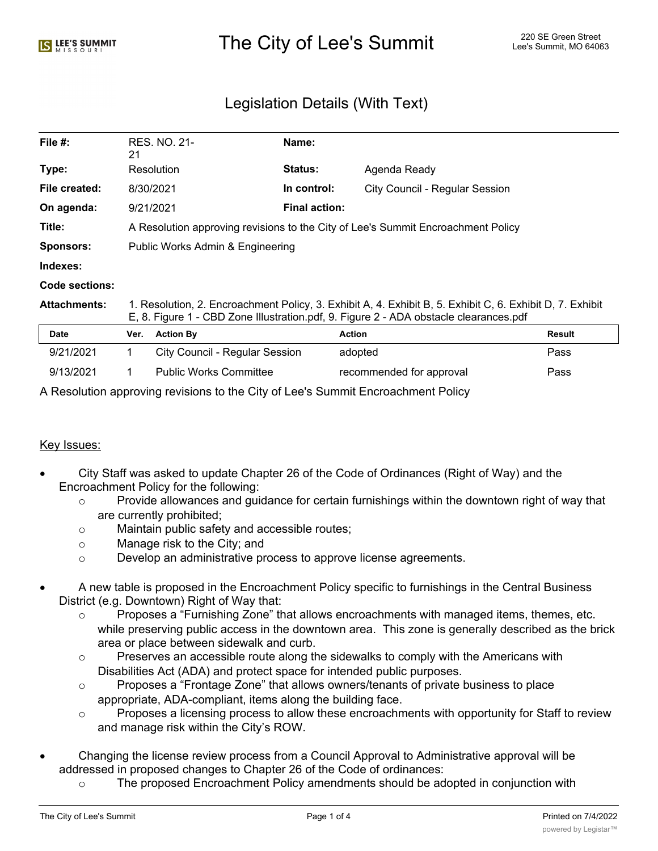# The City of Lee's Summit 220 SE Green Street Alex City of Lee's Summit, MO 64063

# Legislation Details (With Text)

| File $#$ :          | 21                                                                                                                                                                                                 | RES. NO. 21-                   | Name:                |                                |        |
|---------------------|----------------------------------------------------------------------------------------------------------------------------------------------------------------------------------------------------|--------------------------------|----------------------|--------------------------------|--------|
| Type:               |                                                                                                                                                                                                    | Resolution                     | <b>Status:</b>       | Agenda Ready                   |        |
| File created:       |                                                                                                                                                                                                    | 8/30/2021                      | In control:          | City Council - Regular Session |        |
| On agenda:          |                                                                                                                                                                                                    | 9/21/2021                      | <b>Final action:</b> |                                |        |
| Title:              | A Resolution approving revisions to the City of Lee's Summit Encroachment Policy                                                                                                                   |                                |                      |                                |        |
| <b>Sponsors:</b>    | Public Works Admin & Engineering                                                                                                                                                                   |                                |                      |                                |        |
| Indexes:            |                                                                                                                                                                                                    |                                |                      |                                |        |
| Code sections:      |                                                                                                                                                                                                    |                                |                      |                                |        |
| <b>Attachments:</b> | 1. Resolution, 2. Encroachment Policy, 3. Exhibit A, 4. Exhibit B, 5. Exhibit C, 6. Exhibit D, 7. Exhibit<br>E, 8. Figure 1 - CBD Zone Illustration.pdf, 9. Figure 2 - ADA obstacle clearances.pdf |                                |                      |                                |        |
| <b>Date</b>         | Ver.                                                                                                                                                                                               | <b>Action By</b>               |                      | <b>Action</b>                  | Result |
| 9/21/2021           |                                                                                                                                                                                                    | City Council - Regular Session |                      | adopted                        | Pass   |

A Resolution approving revisions to the City of Lee's Summit Encroachment Policy

#### Key Issues:

· City Staff was asked to update Chapter 26 of the Code of Ordinances (Right of Way) and the Encroachment Policy for the following:

9/13/2021 1 Public Works Committee **recommended for approval** Pass

- $\circ$  Provide allowances and guidance for certain furnishings within the downtown right of way that are currently prohibited;
- o Maintain public safety and accessible routes;
- o Manage risk to the City; and
- o Develop an administrative process to approve license agreements.
- · A new table is proposed in the Encroachment Policy specific to furnishings in the Central Business District (e.g. Downtown) Right of Way that:
	- o Proposes a "Furnishing Zone" that allows encroachments with managed items, themes, etc. while preserving public access in the downtown area. This zone is generally described as the brick area or place between sidewalk and curb.
	- o Preserves an accessible route along the sidewalks to comply with the Americans with Disabilities Act (ADA) and protect space for intended public purposes.
	- o Proposes a "Frontage Zone" that allows owners/tenants of private business to place appropriate, ADA-compliant, items along the building face.
	- o Proposes a licensing process to allow these encroachments with opportunity for Staff to review and manage risk within the City's ROW.
- · Changing the license review process from a Council Approval to Administrative approval will be addressed in proposed changes to Chapter 26 of the Code of ordinances:
	- $\circ$  The proposed Encroachment Policy amendments should be adopted in conjunction with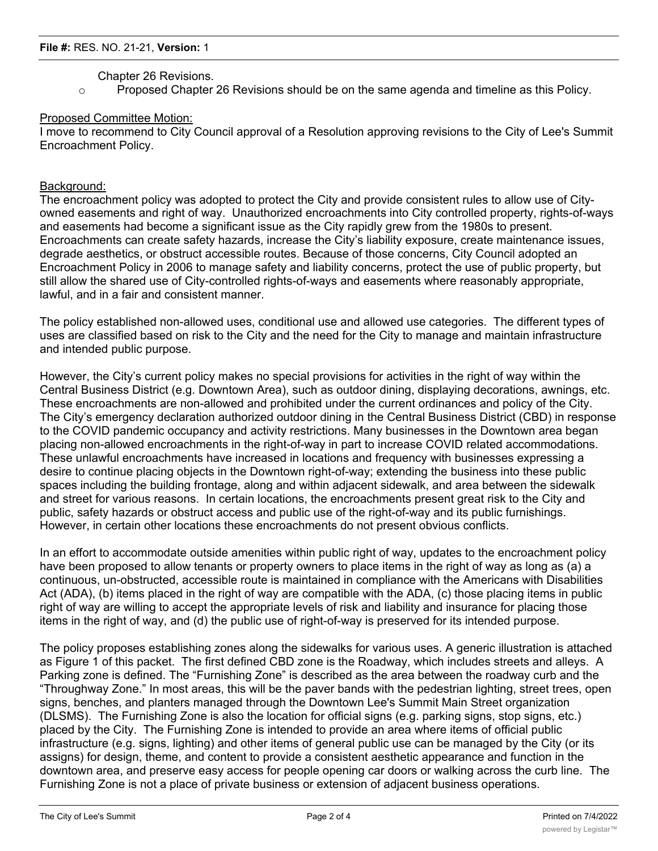# Chapter 26 Revisions.

o Proposed Chapter 26 Revisions should be on the same agenda and timeline as this Policy.

## Proposed Committee Motion:

I move to recommend to City Council approval of a Resolution approving revisions to the City of Lee's Summit Encroachment Policy.

### Background:

The encroachment policy was adopted to protect the City and provide consistent rules to allow use of Cityowned easements and right of way. Unauthorized encroachments into City controlled property, rights-of-ways and easements had become a significant issue as the City rapidly grew from the 1980s to present. Encroachments can create safety hazards, increase the City's liability exposure, create maintenance issues, degrade aesthetics, or obstruct accessible routes. Because of those concerns, City Council adopted an Encroachment Policy in 2006 to manage safety and liability concerns, protect the use of public property, but still allow the shared use of City-controlled rights-of-ways and easements where reasonably appropriate, lawful, and in a fair and consistent manner.

The policy established non-allowed uses, conditional use and allowed use categories. The different types of uses are classified based on risk to the City and the need for the City to manage and maintain infrastructure and intended public purpose.

However, the City's current policy makes no special provisions for activities in the right of way within the Central Business District (e.g. Downtown Area), such as outdoor dining, displaying decorations, awnings, etc. These encroachments are non-allowed and prohibited under the current ordinances and policy of the City. The City's emergency declaration authorized outdoor dining in the Central Business District (CBD) in response to the COVID pandemic occupancy and activity restrictions. Many businesses in the Downtown area began placing non-allowed encroachments in the right-of-way in part to increase COVID related accommodations. These unlawful encroachments have increased in locations and frequency with businesses expressing a desire to continue placing objects in the Downtown right-of-way; extending the business into these public spaces including the building frontage, along and within adjacent sidewalk, and area between the sidewalk and street for various reasons. In certain locations, the encroachments present great risk to the City and public, safety hazards or obstruct access and public use of the right-of-way and its public furnishings. However, in certain other locations these encroachments do not present obvious conflicts.

In an effort to accommodate outside amenities within public right of way, updates to the encroachment policy have been proposed to allow tenants or property owners to place items in the right of way as long as (a) a continuous, un-obstructed, accessible route is maintained in compliance with the Americans with Disabilities Act (ADA), (b) items placed in the right of way are compatible with the ADA, (c) those placing items in public right of way are willing to accept the appropriate levels of risk and liability and insurance for placing those items in the right of way, and (d) the public use of right-of-way is preserved for its intended purpose.

The policy proposes establishing zones along the sidewalks for various uses. A generic illustration is attached as Figure 1 of this packet. The first defined CBD zone is the Roadway, which includes streets and alleys. A Parking zone is defined. The "Furnishing Zone" is described as the area between the roadway curb and the "Throughway Zone." In most areas, this will be the paver bands with the pedestrian lighting, street trees, open signs, benches, and planters managed through the Downtown Lee's Summit Main Street organization (DLSMS). The Furnishing Zone is also the location for official signs (e.g. parking signs, stop signs, etc.) placed by the City. The Furnishing Zone is intended to provide an area where items of official public infrastructure (e.g. signs, lighting) and other items of general public use can be managed by the City (or its assigns) for design, theme, and content to provide a consistent aesthetic appearance and function in the downtown area, and preserve easy access for people opening car doors or walking across the curb line. The Furnishing Zone is not a place of private business or extension of adjacent business operations.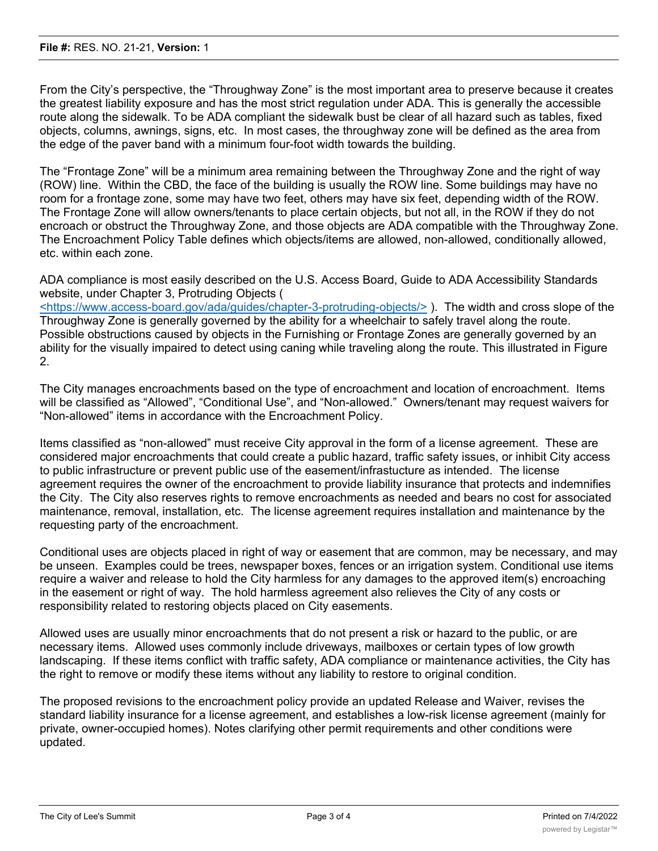From the City's perspective, the "Throughway Zone" is the most important area to preserve because it creates the greatest liability exposure and has the most strict regulation under ADA. This is generally the accessible route along the sidewalk. To be ADA compliant the sidewalk bust be clear of all hazard such as tables, fixed objects, columns, awnings, signs, etc. In most cases, the throughway zone will be defined as the area from the edge of the paver band with a minimum four-foot width towards the building.

The "Frontage Zone" will be a minimum area remaining between the Throughway Zone and the right of way (ROW) line. Within the CBD, the face of the building is usually the ROW line. Some buildings may have no room for a frontage zone, some may have two feet, others may have six feet, depending width of the ROW. The Frontage Zone will allow owners/tenants to place certain objects, but not all, in the ROW if they do not encroach or obstruct the Throughway Zone, and those objects are ADA compatible with the Throughway Zone. The Encroachment Policy Table defines which objects/items are allowed, non-allowed, conditionally allowed, etc. within each zone.

ADA compliance is most easily described on the U.S. Access Board, Guide to ADA Accessibility Standards website, under Chapter 3, Protruding Objects ( <https://www.access-board.gov/ada/guides/chapter-3-protruding-objects/> ). The width and cross slope of the Throughway Zone is generally governed by the ability for a wheelchair to safely travel along the route. Possible obstructions caused by objects in the Furnishing or Frontage Zones are generally governed by an ability for the visually impaired to detect using caning while traveling along the route. This illustrated in Figure 2.

The City manages encroachments based on the type of encroachment and location of encroachment. Items will be classified as "Allowed", "Conditional Use", and "Non-allowed." Owners/tenant may request waivers for "Non-allowed" items in accordance with the Encroachment Policy.

Items classified as "non-allowed" must receive City approval in the form of a license agreement. These are considered major encroachments that could create a public hazard, traffic safety issues, or inhibit City access to public infrastructure or prevent public use of the easement/infrastucture as intended. The license agreement requires the owner of the encroachment to provide liability insurance that protects and indemnifies the City. The City also reserves rights to remove encroachments as needed and bears no cost for associated maintenance, removal, installation, etc. The license agreement requires installation and maintenance by the requesting party of the encroachment.

Conditional uses are objects placed in right of way or easement that are common, may be necessary, and may be unseen. Examples could be trees, newspaper boxes, fences or an irrigation system. Conditional use items require a waiver and release to hold the City harmless for any damages to the approved item(s) encroaching in the easement or right of way. The hold harmless agreement also relieves the City of any costs or responsibility related to restoring objects placed on City easements.

Allowed uses are usually minor encroachments that do not present a risk or hazard to the public, or are necessary items. Allowed uses commonly include driveways, mailboxes or certain types of low growth landscaping. If these items conflict with traffic safety, ADA compliance or maintenance activities, the City has the right to remove or modify these items without any liability to restore to original condition.

The proposed revisions to the encroachment policy provide an updated Release and Waiver, revises the standard liability insurance for a license agreement, and establishes a low-risk license agreement (mainly for private, owner-occupied homes). Notes clarifying other permit requirements and other conditions were updated.